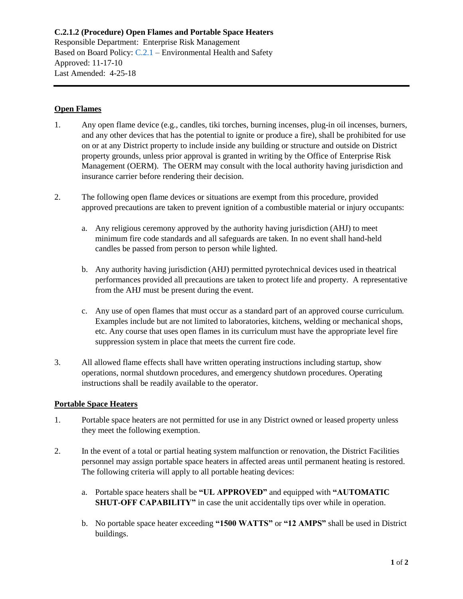**C.2.1.2 (Procedure) Open Flames and Portable Space Heaters** Responsible Department: Enterprise Risk Management Based on Board Policy: [C.2.1](https://www.alamo.edu/siteassets/district/about-us/leadership/board-of-trustees/policies-pdfs/section-c/c.2.1-policy.pdf) – Environmental Health and Safety Approved: 11-17-10 Last Amended: 4-25-18

## **Open Flames**

- 1. Any open flame device (e.g., candles, tiki torches, burning incenses, plug-in oil incenses, burners, and any other devices that has the potential to ignite or produce a fire), shall be prohibited for use on or at any District property to include inside any building or structure and outside on District property grounds, unless prior approval is granted in writing by the Office of Enterprise Risk Management (OERM). The OERM may consult with the local authority having jurisdiction and insurance carrier before rendering their decision.
- 2. The following open flame devices or situations are exempt from this procedure, provided approved precautions are taken to prevent ignition of a combustible material or injury occupants:
	- a. Any religious ceremony approved by the authority having jurisdiction (AHJ) to meet minimum fire code standards and all safeguards are taken. In no event shall hand-held candles be passed from person to person while lighted.
	- b. Any authority having jurisdiction (AHJ) permitted pyrotechnical devices used in theatrical performances provided all precautions are taken to protect life and property. A representative from the AHJ must be present during the event.
	- c. Any use of open flames that must occur as a standard part of an approved course curriculum. Examples include but are not limited to laboratories, kitchens, welding or mechanical shops, etc. Any course that uses open flames in its curriculum must have the appropriate level fire suppression system in place that meets the current fire code.
- 3. All allowed flame effects shall have written operating instructions including startup, show operations, normal shutdown procedures, and emergency shutdown procedures. Operating instructions shall be readily available to the operator.

## **Portable Space Heaters**

- 1. Portable space heaters are not permitted for use in any District owned or leased property unless they meet the following exemption.
- 2. In the event of a total or partial heating system malfunction or renovation, the District Facilities personnel may assign portable space heaters in affected areas until permanent heating is restored. The following criteria will apply to all portable heating devices:
	- a. Portable space heaters shall be **"UL APPROVED"** and equipped with **"AUTOMATIC SHUT-OFF CAPABILITY"** in case the unit accidentally tips over while in operation.
	- b. No portable space heater exceeding **"1500 WATTS"** or **"12 AMPS"** shall be used in District buildings.